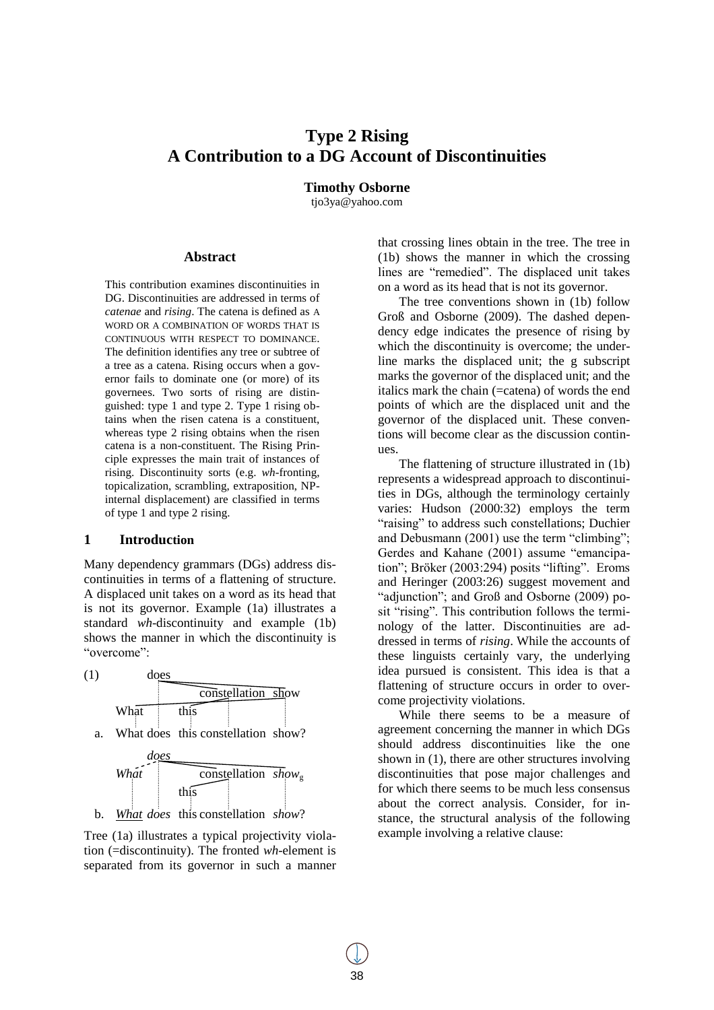# **Type 2 Rising A Contribution to a DG Account of Discontinuities**

# **Timothy Osborne**

tjo3ya@yahoo.com

## **Abstract**

This contribution examines discontinuities in DG. Discontinuities are addressed in terms of *catenae* and *rising*. The catena is defined as A WORD OR A COMBINATION OF WORDS THAT IS CONTINUOUS WITH RESPECT TO DOMINANCE. The definition identifies any tree or subtree of a tree as a catena. Rising occurs when a governor fails to dominate one (or more) of its governees. Two sorts of rising are distinguished: type 1 and type 2. Type 1 rising obtains when the risen catena is a constituent, whereas type 2 rising obtains when the risen catena is a non-constituent. The Rising Principle expresses the main trait of instances of rising. Discontinuity sorts (e.g. *wh*-fronting, topicalization, scrambling, extraposition, NPinternal displacement) are classified in terms of type 1 and type 2 rising.

#### **1 Introduction**

Many dependency grammars (DGs) address discontinuities in terms of a flattening of structure. A displaced unit takes on a word as its head that is not its governor. Example (1a) illustrates a standard *wh*-discontinuity and example (1b) shows the manner in which the discontinuity is "overcome":



b. *What does* this constellation *show*?

Tree (1a) illustrates a typical projectivity violation (=discontinuity). The fronted *wh*-element is separated from its governor in such a manner that crossing lines obtain in the tree. The tree in (1b) shows the manner in which the crossing lines are "remedied". The displaced unit takes on a word as its head that is not its governor.

The tree conventions shown in (1b) follow Groß and Osborne (2009). The dashed dependency edge indicates the presence of rising by which the discontinuity is overcome; the underline marks the displaced unit; the g subscript marks the governor of the displaced unit; and the italics mark the chain (=catena) of words the end points of which are the displaced unit and the governor of the displaced unit. These conventions will become clear as the discussion continues.

The flattening of structure illustrated in (1b) represents a widespread approach to discontinuities in DGs, although the terminology certainly varies: Hudson (2000:32) employs the term "raising" to address such constellations; Duchier and Debusmann (2001) use the term "climbing"; Gerdes and Kahane (2001) assume "emancipation"; Bröker (2003:294) posits "lifting". Eroms and Heringer (2003:26) suggest movement and "adjunction"; and Groß and Osborne (2009) posit "rising". This contribution follows the terminology of the latter. Discontinuities are addressed in terms of *rising*. While the accounts of these linguists certainly vary, the underlying idea pursued is consistent. This idea is that a flattening of structure occurs in order to overcome projectivity violations.

While there seems to be a measure of agreement concerning the manner in which DGs should address discontinuities like the one shown in (1), there are other structures involving discontinuities that pose major challenges and for which there seems to be much less consensus about the correct analysis. Consider, for instance, the structural analysis of the following example involving a relative clause: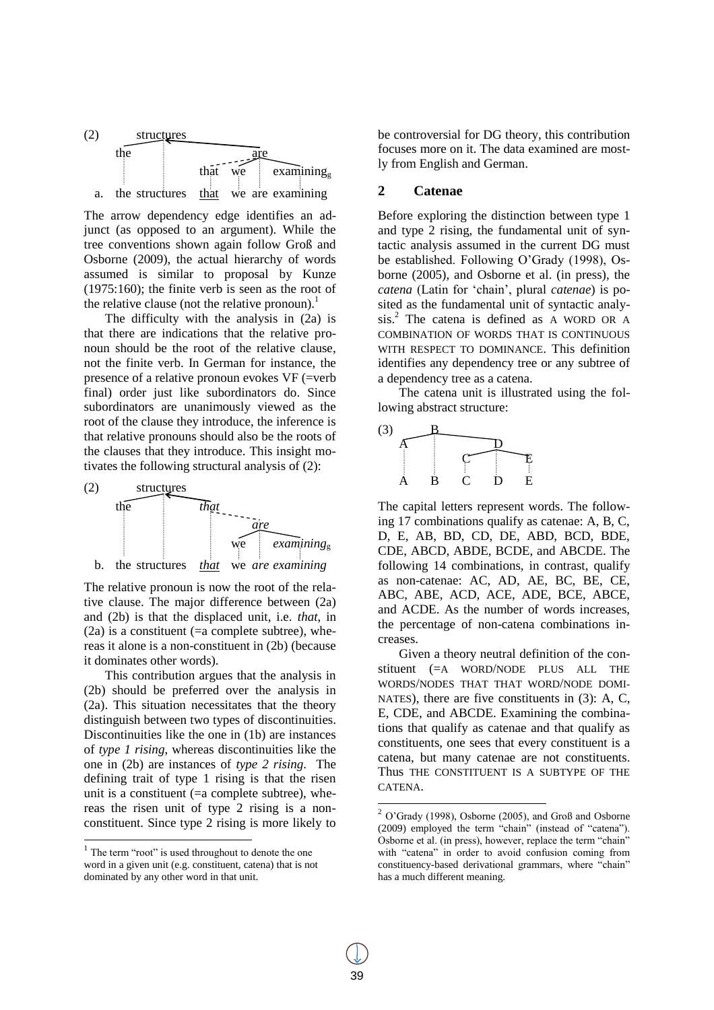

The arrow dependency edge identifies an adjunct (as opposed to an argument). While the tree conventions shown again follow Groß and Osborne (2009), the actual hierarchy of words assumed is similar to proposal by Kunze (1975:160); the finite verb is seen as the root of the relative clause (not the relative pronoun).<sup>1</sup>

The difficulty with the analysis in (2a) is that there are indications that the relative pronoun should be the root of the relative clause, not the finite verb. In German for instance, the presence of a relative pronoun evokes VF (=verb final) order just like subordinators do. Since subordinators are unanimously viewed as the root of the clause they introduce, the inference is that relative pronouns should also be the roots of the clauses that they introduce. This insight motivates the following structural analysis of (2):



The relative pronoun is now the root of the relative clause. The major difference between (2a) and (2b) is that the displaced unit, i.e. *that*, in  $(2a)$  is a constituent (=a complete subtree), whereas it alone is a non-constituent in (2b) (because it dominates other words).

This contribution argues that the analysis in (2b) should be preferred over the analysis in (2a). This situation necessitates that the theory distinguish between two types of discontinuities. Discontinuities like the one in (1b) are instances of *type 1 rising*, whereas discontinuities like the one in (2b) are instances of *type 2 rising*. The defining trait of type 1 rising is that the risen unit is a constituent (=a complete subtree), whereas the risen unit of type 2 rising is a nonconstituent. Since type 2 rising is more likely to

l

be controversial for DG theory, this contribution focuses more on it. The data examined are mostly from English and German.

## **2 Catenae**

Before exploring the distinction between type 1 and type 2 rising, the fundamental unit of syntactic analysis assumed in the current DG must be established. Following O"Grady (1998), Osborne (2005), and Osborne et al. (in press), the *catena* (Latin for "chain", plural *catenae*) is posited as the fundamental unit of syntactic analysis.<sup>2</sup> The catena is defined as A WORD OR A COMBINATION OF WORDS THAT IS CONTINUOUS WITH RESPECT TO DOMINANCE. This definition identifies any dependency tree or any subtree of a dependency tree as a catena.

The catena unit is illustrated using the following abstract structure:



The capital letters represent words. The following 17 combinations qualify as catenae: A, B, C, D, E, AB, BD, CD, DE, ABD, BCD, BDE, CDE, ABCD, ABDE, BCDE, and ABCDE. The following 14 combinations, in contrast, qualify as non-catenae: AC, AD, AE, BC, BE, CE, ABC, ABE, ACD, ACE, ADE, BCE, ABCE, and ACDE. As the number of words increases, the percentage of non-catena combinations increases.

Given a theory neutral definition of the constituent (=A WORD/NODE PLUS ALL THE WORDS/NODES THAT THAT WORD/NODE DOMI-NATES), there are five constituents in (3): A, C, E, CDE, and ABCDE. Examining the combinations that qualify as catenae and that qualify as constituents, one sees that every constituent is a catena, but many catenae are not constituents. Thus THE CONSTITUENT IS A SUBTYPE OF THE CATENA.

 $\overline{a}$ 

<sup>&</sup>lt;sup>1</sup> The term "root" is used throughout to denote the one word in a given unit (e.g. constituent, catena) that is not dominated by any other word in that unit.

<sup>2</sup> O"Grady (1998), Osborne (2005), and Groß and Osborne (2009) employed the term "chain" (instead of "catena"). Osborne et al. (in press), however, replace the term "chain" with "catena" in order to avoid confusion coming from constituency-based derivational grammars, where "chain" has a much different meaning.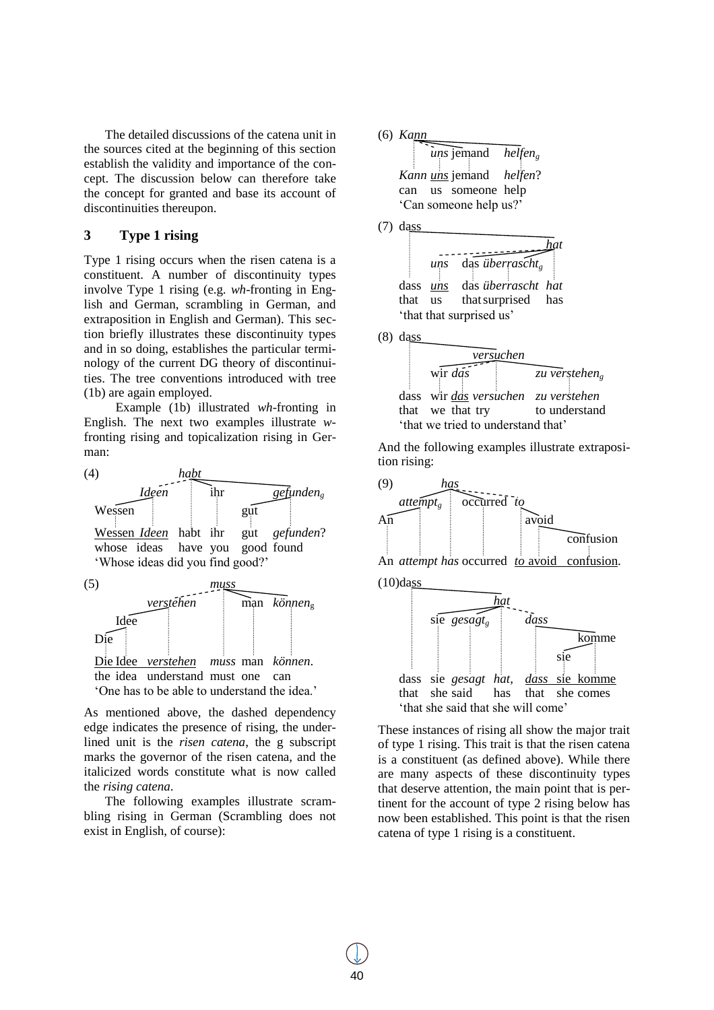The detailed discussions of the catena unit in the sources cited at the beginning of this section establish the validity and importance of the concept. The discussion below can therefore take the concept for granted and base its account of discontinuities thereupon.

# **3 Type 1 rising**

Type 1 rising occurs when the risen catena is a constituent. A number of discontinuity types involve Type 1 rising (e.g. *wh*-fronting in English and German, scrambling in German, and extraposition in English and German). This section briefly illustrates these discontinuity types and in so doing, establishes the particular terminology of the current DG theory of discontinuities. The tree conventions introduced with tree (1b) are again employed.

Example (1b) illustrated *wh*-fronting in English. The next two examples illustrate *w*fronting rising and topicalization rising in German:



As mentioned above, the dashed dependency edge indicates the presence of rising, the underlined unit is the *risen catena*, the g subscript marks the governor of the risen catena, and the italicized words constitute what is now called the *rising catena*.

The following examples illustrate scrambling rising in German (Scrambling does not exist in English, of course):

(6) *Kann uns* jemand *helfen<sup>g</sup> Kann uns* jemand *helfen*? can us someone help "Can someone help us?" (7) dass *hat uns* das *überrascht*<sub>g</sub> dass *uns* das *überrascht hat* that us thatsurprised has 'that that surprised us'



And the following examples illustrate extraposition rising:





These instances of rising all show the major trait of type 1 rising. This trait is that the risen catena is a constituent (as defined above). While there are many aspects of these discontinuity types that deserve attention, the main point that is pertinent for the account of type 2 rising below has now been established. This point is that the risen catena of type 1 rising is a constituent.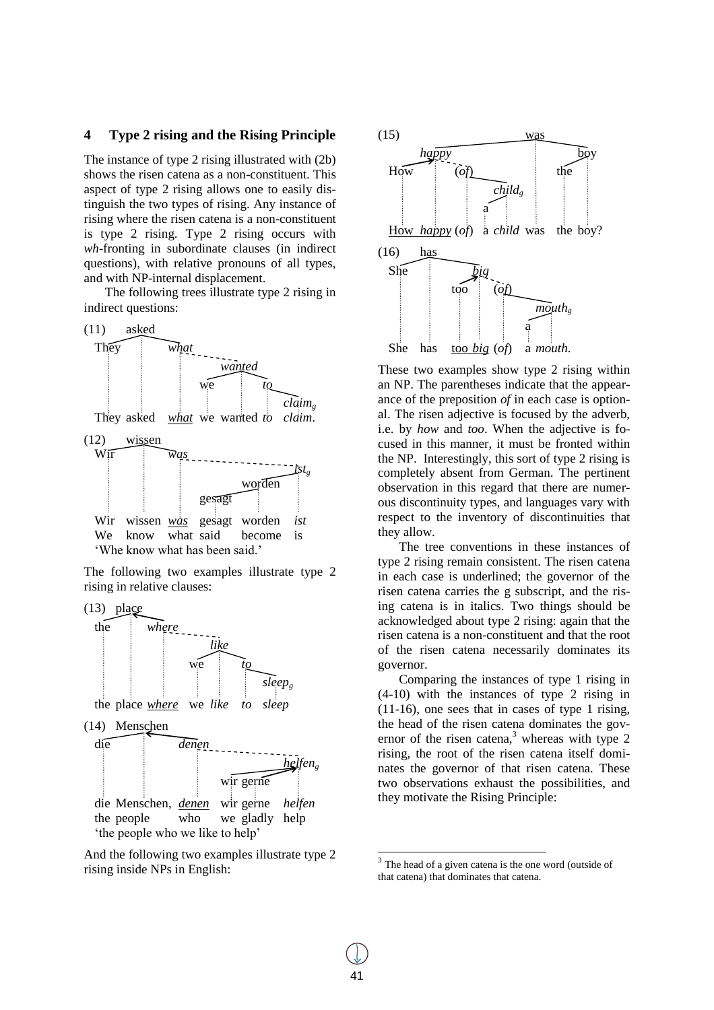## **4 Type 2 rising and the Rising Principle**

The instance of type 2 rising illustrated with (2b) shows the risen catena as a non-constituent. This aspect of type 2 rising allows one to easily distinguish the two types of rising. Any instance of rising where the risen catena is a non-constituent is type 2 rising. Type 2 rising occurs with *wh*-fronting in subordinate clauses (in indirect questions), with relative pronouns of all types, and with NP-internal displacement.

The following trees illustrate type 2 rising in indirect questions:



The following two examples illustrate type 2 rising in relative clauses:



And the following two examples illustrate type 2 rising inside NPs in English:



These two examples show type 2 rising within an NP. The parentheses indicate that the appearance of the preposition *of* in each case is optional. The risen adjective is focused by the adverb, i.e. by *how* and *too*. When the adjective is focused in this manner, it must be fronted within the NP. Interestingly, this sort of type 2 rising is completely absent from German. The pertinent observation in this regard that there are numerous discontinuity types, and languages vary with respect to the inventory of discontinuities that they allow.

The tree conventions in these instances of type 2 rising remain consistent. The risen catena in each case is underlined; the governor of the risen catena carries the g subscript, and the rising catena is in italics. Two things should be acknowledged about type 2 rising: again that the risen catena is a non-constituent and that the root of the risen catena necessarily dominates its governor.

Comparing the instances of type 1 rising in (4-10) with the instances of type 2 rising in (11-16), one sees that in cases of type 1 rising, the head of the risen catena dominates the governor of the risen catena, $3$  whereas with type 2 rising, the root of the risen catena itself dominates the governor of that risen catena. These two observations exhaust the possibilities, and they motivate the Rising Principle:

 $\overline{a}$ 

 $3$  The head of a given catena is the one word (outside of that catena) that dominates that catena.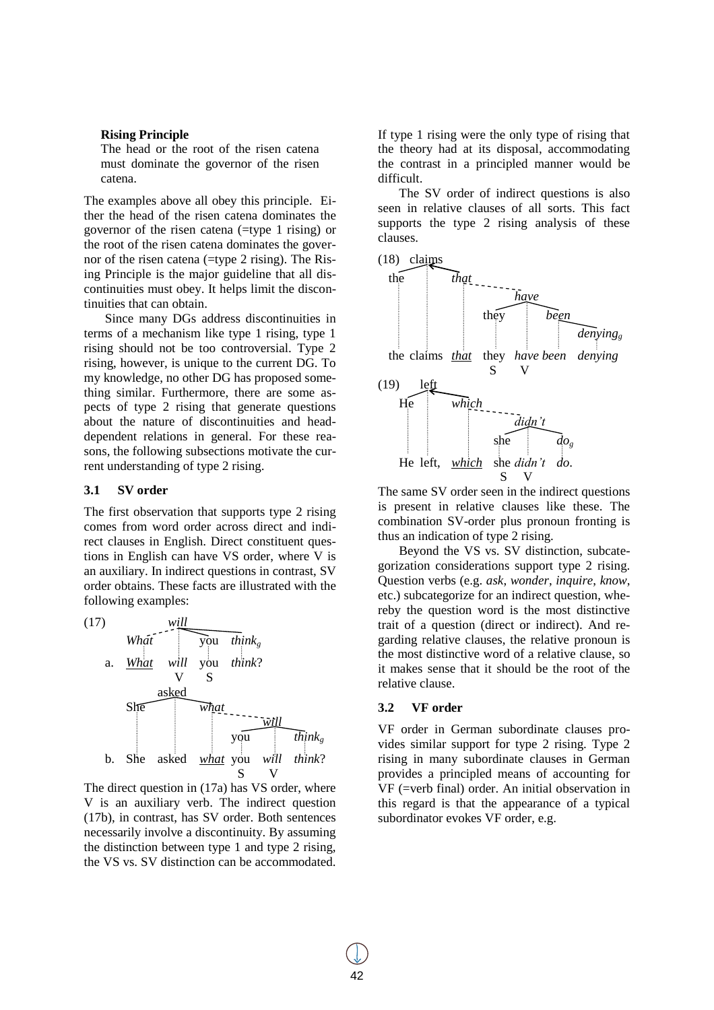#### **Rising Principle**

The head or the root of the risen catena must dominate the governor of the risen catena.

The examples above all obey this principle. Either the head of the risen catena dominates the governor of the risen catena (=type 1 rising) or the root of the risen catena dominates the governor of the risen catena (=type 2 rising). The Rising Principle is the major guideline that all discontinuities must obey. It helps limit the discontinuities that can obtain.

Since many DGs address discontinuities in terms of a mechanism like type 1 rising, type 1 rising should not be too controversial. Type 2 rising, however, is unique to the current DG. To my knowledge, no other DG has proposed something similar. Furthermore, there are some aspects of type 2 rising that generate questions about the nature of discontinuities and headdependent relations in general. For these reasons, the following subsections motivate the current understanding of type 2 rising.

#### **3.1 SV order**

The first observation that supports type 2 rising comes from word order across direct and indirect clauses in English. Direct constituent questions in English can have VS order, where V is an auxiliary. In indirect questions in contrast, SV order obtains. These facts are illustrated with the following examples:



The direct question in (17a) has VS order, where V is an auxiliary verb. The indirect question (17b), in contrast, has SV order. Both sentences necessarily involve a discontinuity. By assuming the distinction between type 1 and type 2 rising, the VS vs. SV distinction can be accommodated.

If type 1 rising were the only type of rising that the theory had at its disposal, accommodating the contrast in a principled manner would be difficult.

The SV order of indirect questions is also seen in relative clauses of all sorts. This fact supports the type 2 rising analysis of these clauses.



The same SV order seen in the indirect questions is present in relative clauses like these. The combination SV-order plus pronoun fronting is thus an indication of type 2 rising.

Beyond the VS vs. SV distinction, subcategorization considerations support type 2 rising. Question verbs (e.g. *ask*, *wonder*, *inquire*, *know*, etc.) subcategorize for an indirect question, whereby the question word is the most distinctive trait of a question (direct or indirect). And regarding relative clauses, the relative pronoun is the most distinctive word of a relative clause, so it makes sense that it should be the root of the relative clause.

## **3.2 VF order**

VF order in German subordinate clauses provides similar support for type 2 rising. Type 2 rising in many subordinate clauses in German provides a principled means of accounting for VF (=verb final) order. An initial observation in this regard is that the appearance of a typical subordinator evokes VF order, e.g.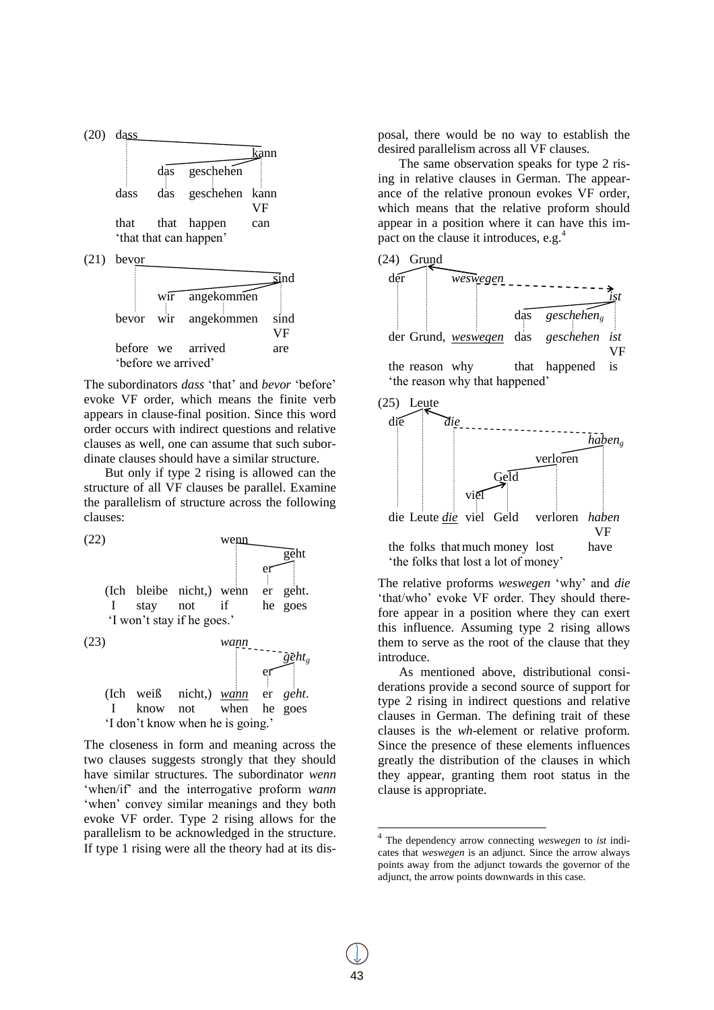

"before we arrived" The subordinators *dass* "that" and *bevor* "before" evoke VF order, which means the finite verb

appears in clause-final position. Since this word order occurs with indirect questions and relative clauses as well, one can assume that such subordinate clauses should have a similar structure.

But only if type 2 rising is allowed can the structure of all VF clauses be parallel. Examine the parallelism of structure across the following clauses:



The closeness in form and meaning across the two clauses suggests strongly that they should have similar structures. The subordinator *wenn*  'when/if' and the interrogative proform *wann* "when" convey similar meanings and they both evoke VF order. Type 2 rising allows for the parallelism to be acknowledged in the structure. If type 1 rising were all the theory had at its dis-

posal, there would be no way to establish the desired parallelism across all VF clauses.

The same observation speaks for type 2 rising in relative clauses in German. The appearance of the relative pronoun evokes VF order, which means that the relative proform should appear in a position where it can have this impact on the clause it introduces, e.g.<sup>4</sup>





The relative proforms *weswegen* "why" and *die* "that/who" evoke VF order. They should therefore appear in a position where they can exert this influence. Assuming type 2 rising allows them to serve as the root of the clause that they introduce.

As mentioned above, distributional considerations provide a second source of support for type 2 rising in indirect questions and relative clauses in German. The defining trait of these clauses is the *wh*-element or relative proform. Since the presence of these elements influences greatly the distribution of the clauses in which they appear, granting them root status in the clause is appropriate.

 4 The dependency arrow connecting *weswegen* to *ist* indicates that *weswegen* is an adjunct. Since the arrow always points away from the adjunct towards the governor of the adjunct, the arrow points downwards in this case.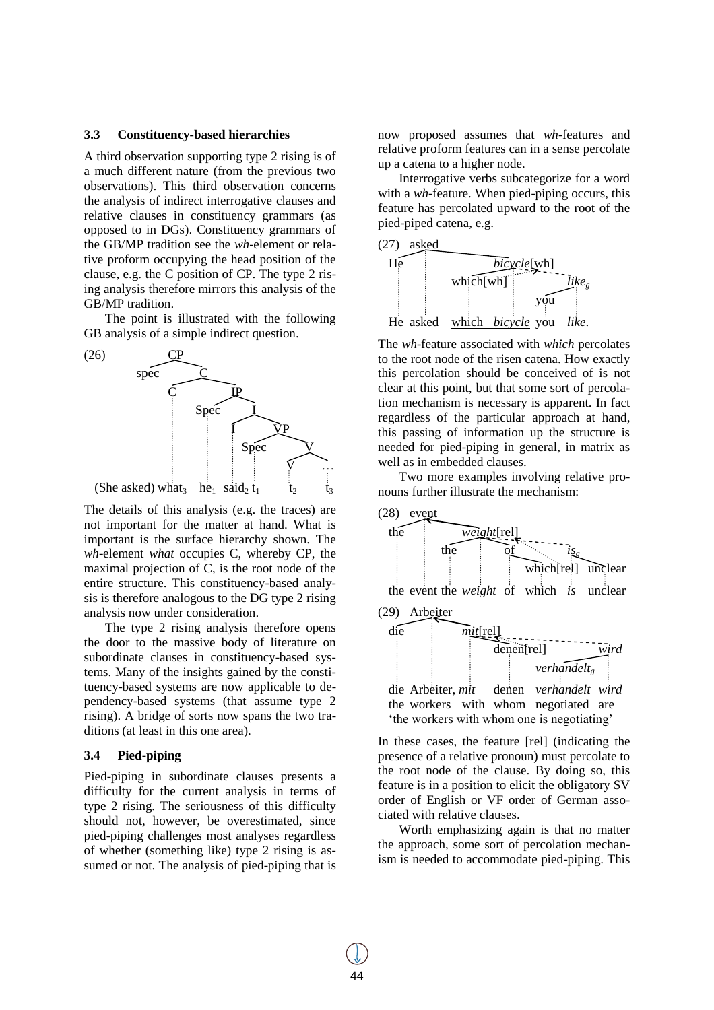#### **3.3 Constituency-based hierarchies**

A third observation supporting type 2 rising is of a much different nature (from the previous two observations). This third observation concerns the analysis of indirect interrogative clauses and relative clauses in constituency grammars (as opposed to in DGs). Constituency grammars of the GB/MP tradition see the *wh*-element or relative proform occupying the head position of the clause, e.g. the C position of CP. The type 2 rising analysis therefore mirrors this analysis of the GB/MP tradition.

The point is illustrated with the following GB analysis of a simple indirect question.



The details of this analysis (e.g. the traces) are not important for the matter at hand. What is important is the surface hierarchy shown. The *wh*-element *what* occupies C, whereby CP, the maximal projection of C, is the root node of the entire structure. This constituency-based analysis is therefore analogous to the DG type 2 rising analysis now under consideration.

The type 2 rising analysis therefore opens the door to the massive body of literature on subordinate clauses in constituency-based systems. Many of the insights gained by the constituency-based systems are now applicable to dependency-based systems (that assume type 2 rising). A bridge of sorts now spans the two traditions (at least in this one area).

#### **3.4 Pied-piping**

Pied-piping in subordinate clauses presents a difficulty for the current analysis in terms of type 2 rising. The seriousness of this difficulty should not, however, be overestimated, since pied-piping challenges most analyses regardless of whether (something like) type 2 rising is assumed or not. The analysis of pied-piping that is now proposed assumes that *wh*-features and relative proform features can in a sense percolate up a catena to a higher node.

Interrogative verbs subcategorize for a word with a *wh*-feature. When pied-piping occurs, this feature has percolated upward to the root of the pied-piped catena, e.g.



The *wh*-feature associated with *which* percolates to the root node of the risen catena. How exactly this percolation should be conceived of is not clear at this point, but that some sort of percolation mechanism is necessary is apparent. In fact regardless of the particular approach at hand, this passing of information up the structure is needed for pied-piping in general, in matrix as well as in embedded clauses.

Two more examples involving relative pronouns further illustrate the mechanism:



In these cases, the feature [rel] (indicating the presence of a relative pronoun) must percolate to the root node of the clause. By doing so, this feature is in a position to elicit the obligatory SV order of English or VF order of German associated with relative clauses.

Worth emphasizing again is that no matter the approach, some sort of percolation mechanism is needed to accommodate pied-piping. This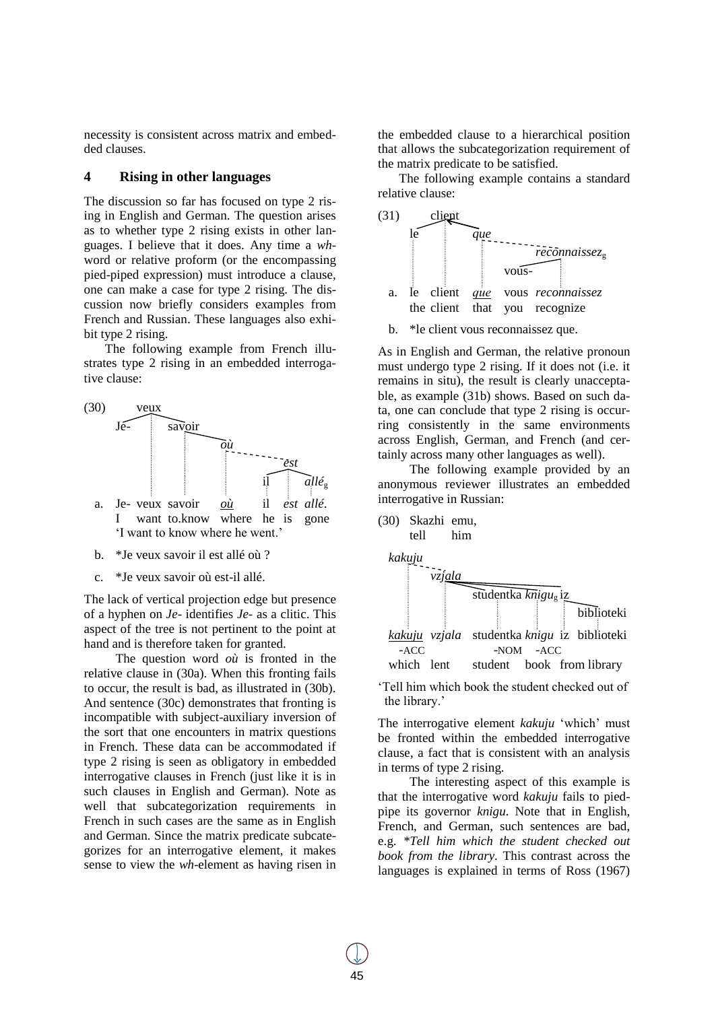necessity is consistent across matrix and embedded clauses.

# **4 Rising in other languages**

The discussion so far has focused on type 2 rising in English and German. The question arises as to whether type 2 rising exists in other languages. I believe that it does. Any time a *wh*word or relative proform (or the encompassing pied-piped expression) must introduce a clause, one can make a case for type 2 rising. The discussion now briefly considers examples from French and Russian. These languages also exhibit type 2 rising.

The following example from French illustrates type 2 rising in an embedded interrogative clause:



- b. \*Je veux savoir il est allé où ?
- c. \*Je veux savoir où est-il allé.

The lack of vertical projection edge but presence of a hyphen on *Je-* identifies *Je-* as a clitic. This aspect of the tree is not pertinent to the point at hand and is therefore taken for granted.

The question word *où* is fronted in the relative clause in (30a). When this fronting fails to occur, the result is bad, as illustrated in (30b). And sentence (30c) demonstrates that fronting is incompatible with subject-auxiliary inversion of the sort that one encounters in matrix questions in French. These data can be accommodated if type 2 rising is seen as obligatory in embedded interrogative clauses in French (just like it is in such clauses in English and German). Note as well that subcategorization requirements in French in such cases are the same as in English and German. Since the matrix predicate subcategorizes for an interrogative element, it makes sense to view the *wh*-element as having risen in the embedded clause to a hierarchical position that allows the subcategorization requirement of the matrix predicate to be satisfied.

The following example contains a standard relative clause:



b. \*le client vous reconnaissez que.

As in English and German, the relative pronoun must undergo type 2 rising. If it does not (i.e. it remains in situ), the result is clearly unacceptable, as example (31b) shows. Based on such data, one can conclude that type 2 rising is occurring consistently in the same environments across English, German, and French (and certainly across many other languages as well).

The following example provided by an anonymous reviewer illustrates an embedded interrogative in Russian:



"Tell him which book the student checked out of the library.'

The interrogative element *kakuju* "which" must be fronted within the embedded interrogative clause, a fact that is consistent with an analysis in terms of type 2 rising.

The interesting aspect of this example is that the interrogative word *kakuju* fails to piedpipe its governor *knigu*. Note that in English, French, and German, such sentences are bad, e.g. *\*Tell him which the student checked out book from the library*. This contrast across the languages is explained in terms of Ross (1967)